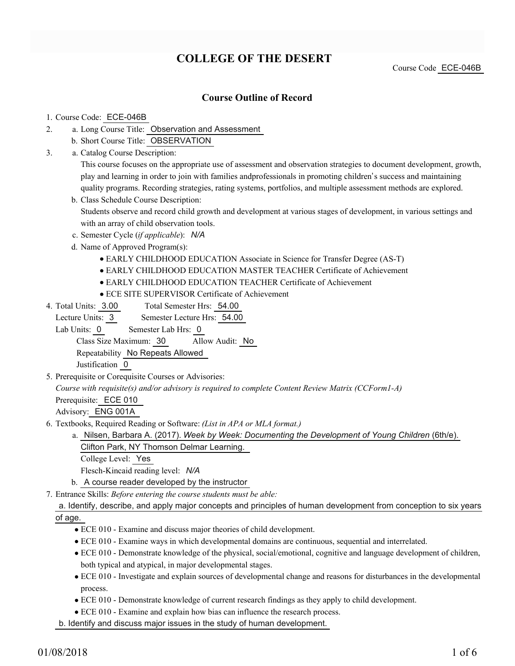# **COLLEGE OF THE DESERT**

Course Code ECE-046B

## **Course Outline of Record**

#### 1. Course Code: ECE-046B

- a. Long Course Title: Observation and Assessment 2.
	- b. Short Course Title: OBSERVATION
- Catalog Course Description: a. 3.

This course focuses on the appropriate use of assessment and observation strategies to document development, growth, play and learning in order to join with families andprofessionals in promoting children's success and maintaining quality programs. Recording strategies, rating systems, portfolios, and multiple assessment methods are explored.

- b. Class Schedule Course Description: Students observe and record child growth and development at various stages of development, in various settings and with an array of child observation tools.
- c. Semester Cycle (*if applicable*): *N/A*
- d. Name of Approved Program(s):
	- EARLY CHILDHOOD EDUCATION Associate in Science for Transfer Degree (AS-T)
	- EARLY CHILDHOOD EDUCATION MASTER TEACHER Certificate of Achievement
	- EARLY CHILDHOOD EDUCATION TEACHER Certificate of Achievement
	- ECE SITE SUPERVISOR Certificate of Achievement
- Total Semester Hrs: 54.00 4. Total Units: 3.00

Lecture Units: 3 Semester Lecture Hrs: 54.00

Lab Units: 0 Semester Lab Hrs: 0

Class Size Maximum: 30 Allow Audit: No

Repeatability No Repeats Allowed

Justification 0

5. Prerequisite or Corequisite Courses or Advisories:

*Course with requisite(s) and/or advisory is required to complete Content Review Matrix (CCForm1-A)*

Prerequisite: ECE 010

Advisory: ENG 001A

- Textbooks, Required Reading or Software: *(List in APA or MLA format.)* 6.
	- a. Nilsen, Barbara A. (2017). Week by Week: Documenting the Development of Young Children (6th/e). Clifton Park, NY Thomson Delmar Learning.
		- College Level: Yes
		- Flesch-Kincaid reading level: *N/A*
	- b. A course reader developed by the instructor
- Entrance Skills: *Before entering the course students must be able:* 7.

### a. Identify, describe, and apply major concepts and principles of human development from conception to six years of age.

- ECE 010 Examine and discuss major theories of child development.
- ECE 010 Examine ways in which developmental domains are continuous, sequential and interrelated.
- ECE 010 Demonstrate knowledge of the physical, social/emotional, cognitive and language development of children, both typical and atypical, in major developmental stages.
- ECE 010 Investigate and explain sources of developmental change and reasons for disturbances in the developmental process.
- ECE 010 Demonstrate knowledge of current research findings as they apply to child development.
- ECE 010 Examine and explain how bias can influence the research process.

b. Identify and discuss major issues in the study of human development.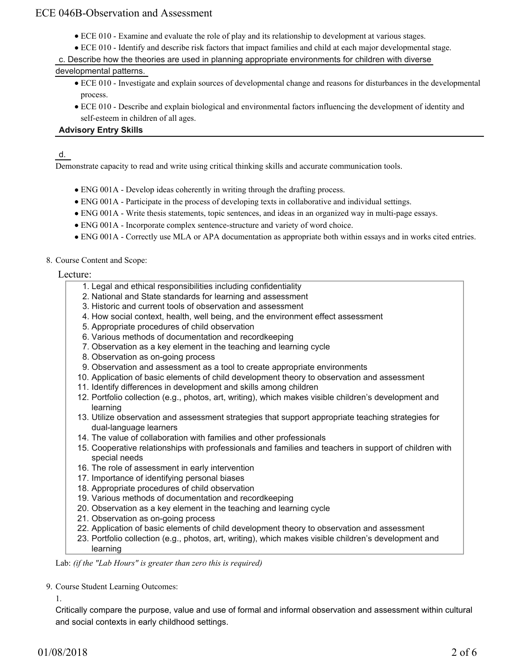- ECE 010 Examine and evaluate the role of play and its relationship to development at various stages.
- ECE 010 Identify and describe risk factors that impact families and child at each major developmental stage.
- c. Describe how the theories are used in planning appropriate environments for children with diverse

## developmental patterns.

- ECE 010 Investigate and explain sources of developmental change and reasons for disturbances in the developmental process.
- ECE 010 Describe and explain biological and environmental factors influencing the development of identity and self-esteem in children of all ages.

## **Advisory Entry Skills**

d.

Demonstrate capacity to read and write using critical thinking skills and accurate communication tools.

- ENG 001A Develop ideas coherently in writing through the drafting process.
- ENG 001A Participate in the process of developing texts in collaborative and individual settings.
- ENG 001A Write thesis statements, topic sentences, and ideas in an organized way in multi-page essays.
- ENG 001A Incorporate complex sentence-structure and variety of word choice.
- ENG 001A Correctly use MLA or APA documentation as appropriate both within essays and in works cited entries.
- 8. Course Content and Scope:

## Lecture:

- 1. Legal and ethical responsibilities including confidentiality
- 2. National and State standards for learning and assessment
- 3. Historic and current tools of observation and assessment
- 4. How social context, health, well being, and the environment effect assessment
- 5. Appropriate procedures of child observation
- 6. Various methods of documentation and recordkeeping
- 7. Observation as a key element in the teaching and learning cycle
- 8. Observation as on-going process
- 9. Observation and assessment as a tool to create appropriate environments
- 10. Application of basic elements of child development theory to observation and assessment
- 11. Identify differences in development and skills among children
- 12. Portfolio collection (e.g., photos, art, writing), which makes visible children's development and learning
- 13. Utilize observation and assessment strategies that support appropriate teaching strategies for dual-language learners
- 14. The value of collaboration with families and other professionals
- 15. Cooperative relationships with professionals and families and teachers in support of children with special needs
- 16. The role of assessment in early intervention
- 17. Importance of identifying personal biases
- 18. Appropriate procedures of child observation
- 19. Various methods of documentation and recordkeeping
- 20. Observation as a key element in the teaching and learning cycle
- 21. Observation as on-going process
- 22. Application of basic elements of child development theory to observation and assessment
- 23. Portfolio collection (e.g., photos, art, writing), which makes visible children's development and learning

Lab: *(if the "Lab Hours" is greater than zero this is required)*

9. Course Student Learning Outcomes:

1.

Critically compare the purpose, value and use of formal and informal observation and assessment within cultural and social contexts in early childhood settings.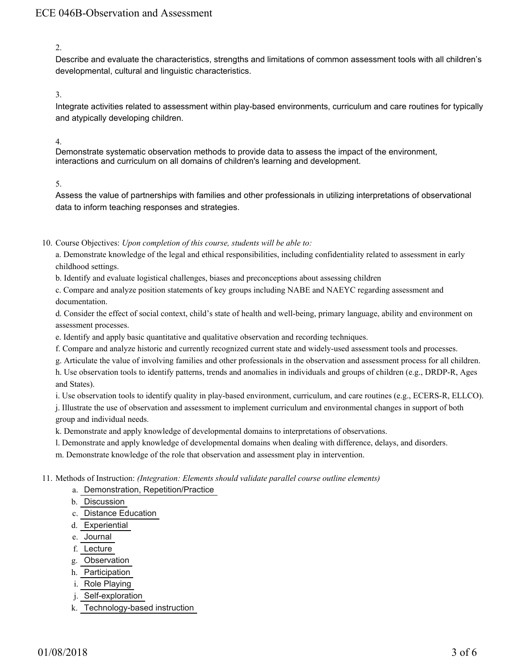2.

Describe and evaluate the characteristics, strengths and limitations of common assessment tools with all children's developmental, cultural and linguistic characteristics.

3.

Integrate activities related to assessment within play-based environments, curriculum and care routines for typically and atypically developing children.

4.

Demonstrate systematic observation methods to provide data to assess the impact of the environment, interactions and curriculum on all domains of children's learning and development.

#### 5.

Assess the value of partnerships with families and other professionals in utilizing interpretations of observational data to inform teaching responses and strategies.

10. Course Objectives: Upon completion of this course, students will be able to:

a. Demonstrate knowledge of the legal and ethical responsibilities, including confidentiality related to assessment in early childhood settings.

b. Identify and evaluate logistical challenges, biases and preconceptions about assessing children

c. Compare and analyze position statements of key groups including NABE and NAEYC regarding assessment and documentation.

d. Consider the effect of social context, child's state of health and well-being, primary language, ability and environment on assessment processes.

e. Identify and apply basic quantitative and qualitative observation and recording techniques.

f. Compare and analyze historic and currently recognized current state and widely-used assessment tools and processes.

g. Articulate the value of involving families and other professionals in the observation and assessment process for all children.

h. Use observation tools to identify patterns, trends and anomalies in individuals and groups of children (e.g., DRDP-R, Ages and States).

i. Use observation tools to identify quality in play-based environment, curriculum, and care routines (e.g., ECERS-R, ELLCO).

j. Illustrate the use of observation and assessment to implement curriculum and environmental changes in support of both group and individual needs.

k. Demonstrate and apply knowledge of developmental domains to interpretations of observations.

l. Demonstrate and apply knowledge of developmental domains when dealing with difference, delays, and disorders.

m. Demonstrate knowledge of the role that observation and assessment play in intervention.

Methods of Instruction: *(Integration: Elements should validate parallel course outline elements)* 11.

- a. Demonstration, Repetition/Practice
- b. Discussion
- c. Distance Education
- d. Experiential
- e. Journal
- f. Lecture
- g. Observation
- h. Participation
- i. Role Playing
- j. Self-exploration
- k. Technology-based instruction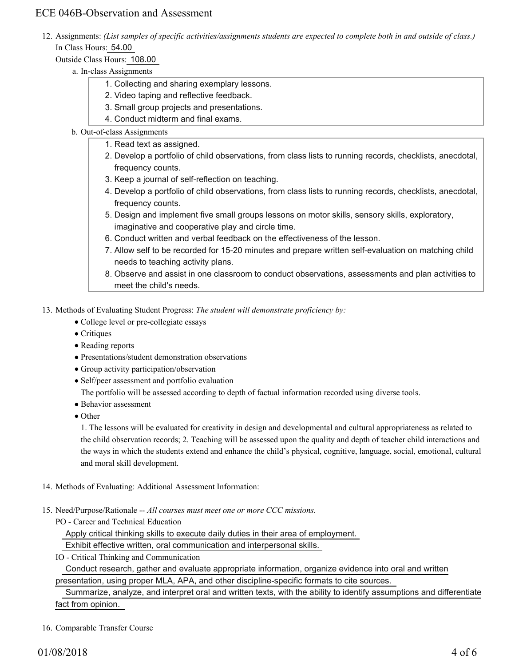12. Assignments: (List samples of specific activities/assignments students are expected to complete both in and outside of class.) In Class Hours: 54.00

## Outside Class Hours: 108.00

- a. In-class Assignments
	- 1. Collecting and sharing exemplary lessons.
	- 2. Video taping and reflective feedback.
	- 3. Small group projects and presentations.
	- 4. Conduct midterm and final exams.

### b. Out-of-class Assignments

- 1. Read text as assigned.
	- 2. Develop a portfolio of child observations, from class lists to running records, checklists, anecdotal, frequency counts.
	- 3. Keep a journal of self-reflection on teaching.
	- 4. Develop a portfolio of child observations, from class lists to running records, checklists, anecdotal, frequency counts.
	- 5. Design and implement five small groups lessons on motor skills, sensory skills, exploratory, imaginative and cooperative play and circle time.
	- 6. Conduct written and verbal feedback on the effectiveness of the lesson.
	- 7. Allow self to be recorded for 15-20 minutes and prepare written self-evaluation on matching child needs to teaching activity plans.
	- Observe and assist in one classroom to conduct observations, assessments and plan activities to 8. meet the child's needs.

## 13. Methods of Evaluating Student Progress: The student will demonstrate proficiency by:

- College level or pre-collegiate essays
- Critiques
- Reading reports
- Presentations/student demonstration observations
- Group activity participation/observation
- Self/peer assessment and portfolio evaluation

The portfolio will be assessed according to depth of factual information recorded using diverse tools.

- Behavior assessment
- Other

1. The lessons will be evaluated for creativity in design and developmental and cultural appropriateness as related to the child observation records; 2. Teaching will be assessed upon the quality and depth of teacher child interactions and the ways in which the students extend and enhance the child's physical, cognitive, language, social, emotional, cultural and moral skill development.

- 14. Methods of Evaluating: Additional Assessment Information:
- 15. Need/Purpose/Rationale -- All courses must meet one or more CCC missions.
	- PO Career and Technical Education

Apply critical thinking skills to execute daily duties in their area of employment.

Exhibit effective written, oral communication and interpersonal skills.

IO - Critical Thinking and Communication

 Conduct research, gather and evaluate appropriate information, organize evidence into oral and written presentation, using proper MLA, APA, and other discipline-specific formats to cite sources.

# Summarize, analyze, and interpret oral and written texts, with the ability to identify assumptions and differentiate fact from opinion.

#### 16. Comparable Transfer Course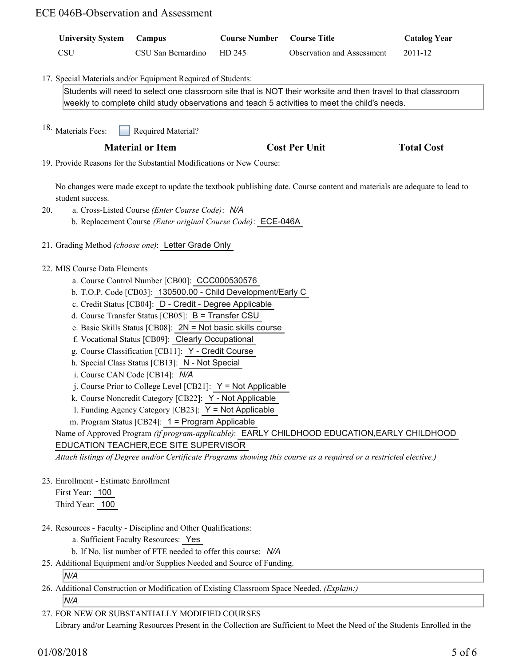| <b>University System</b>                                                                                                 | Campus                  | <b>Course Number</b> | <b>Course Title</b>        | <b>Catalog Year</b> |
|--------------------------------------------------------------------------------------------------------------------------|-------------------------|----------------------|----------------------------|---------------------|
| <b>CSU</b>                                                                                                               | CSU San Bernardino      | HD 245               | Observation and Assessment | 2011-12             |
|                                                                                                                          |                         |                      |                            |                     |
| 17. Special Materials and/or Equipment Required of Students:                                                             |                         |                      |                            |                     |
| Students will need to select one classroom site that is NOT their worksite and then travel to that classroom             |                         |                      |                            |                     |
| weekly to complete child study observations and teach 5 activities to meet the child's needs.                            |                         |                      |                            |                     |
| <sup>18.</sup> Materials Fees:<br>Required Material?                                                                     |                         |                      |                            |                     |
|                                                                                                                          | <b>Material or Item</b> |                      | <b>Cost Per Unit</b>       | <b>Total Cost</b>   |
|                                                                                                                          |                         |                      |                            |                     |
| 19. Provide Reasons for the Substantial Modifications or New Course:                                                     |                         |                      |                            |                     |
| No changes were made except to update the textbook publishing date. Course content and materials are adequate to lead to |                         |                      |                            |                     |
| student success.                                                                                                         |                         |                      |                            |                     |
| a. Cross-Listed Course (Enter Course Code): N/A<br>20.<br>b. Replacement Course (Enter original Course Code): ECE-046A   |                         |                      |                            |                     |
|                                                                                                                          |                         |                      |                            |                     |
| 21. Grading Method (choose one): Letter Grade Only                                                                       |                         |                      |                            |                     |
|                                                                                                                          |                         |                      |                            |                     |
| 22. MIS Course Data Elements                                                                                             |                         |                      |                            |                     |
| a. Course Control Number [CB00]: CCC000530576<br>b. T.O.P. Code [CB03]: 130500.00 - Child Development/Early C            |                         |                      |                            |                     |
| c. Credit Status [CB04]: D - Credit - Degree Applicable                                                                  |                         |                      |                            |                     |
| d. Course Transfer Status [CB05]: B = Transfer CSU                                                                       |                         |                      |                            |                     |
| e. Basic Skills Status [CB08]: $2N = Not basic skills course$                                                            |                         |                      |                            |                     |
| f. Vocational Status [CB09]: Clearly Occupational                                                                        |                         |                      |                            |                     |
| g. Course Classification [CB11]: Y - Credit Course                                                                       |                         |                      |                            |                     |
| h. Special Class Status [CB13]: N - Not Special                                                                          |                         |                      |                            |                     |
| i. Course CAN Code [CB14]: N/A                                                                                           |                         |                      |                            |                     |
| j. Course Prior to College Level [CB21]: $Y = Not$ Applicable                                                            |                         |                      |                            |                     |
| k. Course Noncredit Category [CB22]: Y - Not Applicable                                                                  |                         |                      |                            |                     |
| 1. Funding Agency Category [CB23]: $Y = Not$ Applicable                                                                  |                         |                      |                            |                     |
| m. Program Status [CB24]: 1 = Program Applicable                                                                         |                         |                      |                            |                     |
| Name of Approved Program (if program-applicable): EARLY CHILDHOOD EDUCATION, EARLY CHILDHOOD                             |                         |                      |                            |                     |
| EDUCATION TEACHER, ECE SITE SUPERVISOR                                                                                   |                         |                      |                            |                     |
| Attach listings of Degree and/or Certificate Programs showing this course as a required or a restricted elective.)       |                         |                      |                            |                     |
| 23. Enrollment - Estimate Enrollment                                                                                     |                         |                      |                            |                     |
| First Year: 100                                                                                                          |                         |                      |                            |                     |
| Third Year: 100                                                                                                          |                         |                      |                            |                     |
|                                                                                                                          |                         |                      |                            |                     |
| 24. Resources - Faculty - Discipline and Other Qualifications:                                                           |                         |                      |                            |                     |
| a. Sufficient Faculty Resources: Yes                                                                                     |                         |                      |                            |                     |
| b. If No, list number of FTE needed to offer this course: N/A                                                            |                         |                      |                            |                     |
| 25. Additional Equipment and/or Supplies Needed and Source of Funding.                                                   |                         |                      |                            |                     |

*N/A*

Additional Construction or Modification of Existing Classroom Space Needed. *(Explain:)* 26. *N/A*

FOR NEW OR SUBSTANTIALLY MODIFIED COURSES 27.

Library and/or Learning Resources Present in the Collection are Sufficient to Meet the Need of the Students Enrolled in the